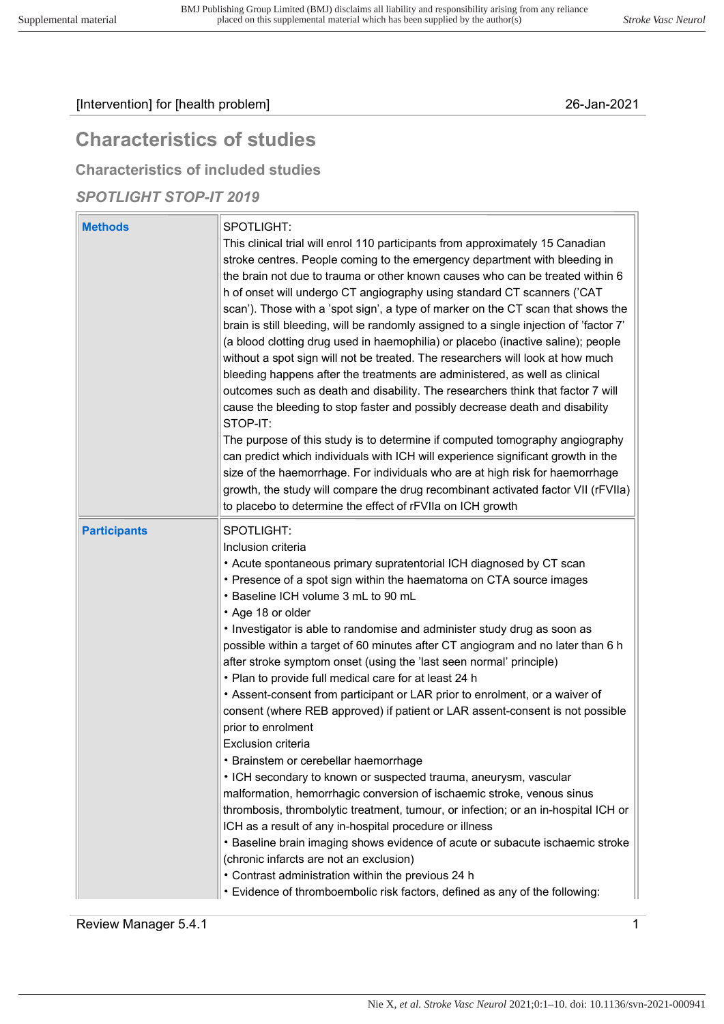# Characteristics of studies

Characteristics of included studies

### SPOTLIGHT STOP-IT 2019

| <b>Methods</b>      | SPOTLIGHT:<br>This clinical trial will enrol 110 participants from approximately 15 Canadian<br>stroke centres. People coming to the emergency department with bleeding in<br>the brain not due to trauma or other known causes who can be treated within 6<br>h of onset will undergo CT angiography using standard CT scanners ('CAT<br>scan'). Those with a 'spot sign', a type of marker on the CT scan that shows the<br>brain is still bleeding, will be randomly assigned to a single injection of 'factor 7'<br>(a blood clotting drug used in haemophilia) or placebo (inactive saline); people<br>without a spot sign will not be treated. The researchers will look at how much<br>bleeding happens after the treatments are administered, as well as clinical<br>outcomes such as death and disability. The researchers think that factor 7 will<br>cause the bleeding to stop faster and possibly decrease death and disability<br>STOP-IT: |
|---------------------|----------------------------------------------------------------------------------------------------------------------------------------------------------------------------------------------------------------------------------------------------------------------------------------------------------------------------------------------------------------------------------------------------------------------------------------------------------------------------------------------------------------------------------------------------------------------------------------------------------------------------------------------------------------------------------------------------------------------------------------------------------------------------------------------------------------------------------------------------------------------------------------------------------------------------------------------------------|
|                     | The purpose of this study is to determine if computed tomography angiography<br>can predict which individuals with ICH will experience significant growth in the<br>size of the haemorrhage. For individuals who are at high risk for haemorrhage<br>growth, the study will compare the drug recombinant activated factor VII (rFVIIa)<br>to placebo to determine the effect of rFVIIa on ICH growth                                                                                                                                                                                                                                                                                                                                                                                                                                                                                                                                                     |
| <b>Participants</b> | SPOTLIGHT:<br>Inclusion criteria<br>• Acute spontaneous primary supratentorial ICH diagnosed by CT scan<br>• Presence of a spot sign within the haematoma on CTA source images<br>• Baseline ICH volume 3 mL to 90 mL<br>• Age 18 or older<br>• Investigator is able to randomise and administer study drug as soon as<br>possible within a target of 60 minutes after CT angiogram and no later than 6 h<br>after stroke symptom onset (using the 'last seen normal' principle)                                                                                                                                                                                                                                                                                                                                                                                                                                                                         |
|                     | • Plan to provide full medical care for at least 24 h<br>• Assent-consent from participant or LAR prior to enrolment, or a waiver of<br>consent (where REB approved) if patient or LAR assent-consent is not possible<br>prior to enrolment<br><b>Exclusion criteria</b>                                                                                                                                                                                                                                                                                                                                                                                                                                                                                                                                                                                                                                                                                 |
|                     | Brainstem or cerebellar haemorrhage<br>• ICH secondary to known or suspected trauma, aneurysm, vascular<br>malformation, hemorrhagic conversion of ischaemic stroke, venous sinus<br>thrombosis, thrombolytic treatment, tumour, or infection; or an in-hospital ICH or<br>ICH as a result of any in-hospital procedure or illness<br>• Baseline brain imaging shows evidence of acute or subacute ischaemic stroke<br>(chronic infarcts are not an exclusion)<br>• Contrast administration within the previous 24 h<br>• Evidence of thromboembolic risk factors, defined as any of the following:                                                                                                                                                                                                                                                                                                                                                      |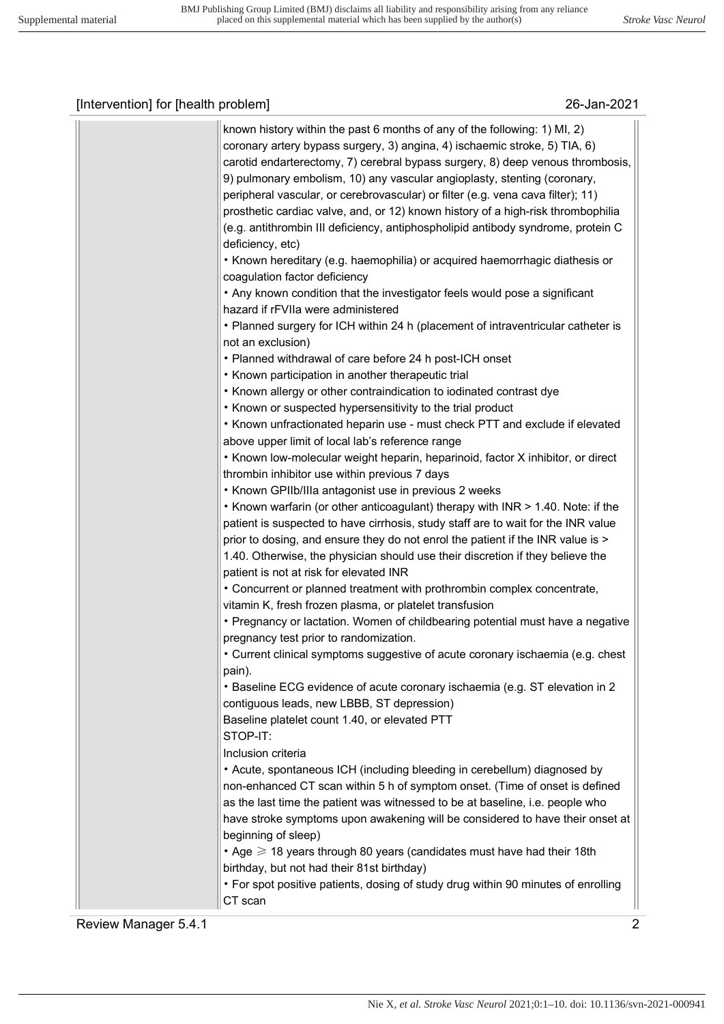| known history within the past 6 months of any of the following: 1) MI, 2)<br>coronary artery bypass surgery, 3) angina, 4) ischaemic stroke, 5) TIA, 6)<br>carotid endarterectomy, 7) cerebral bypass surgery, 8) deep venous thrombosis,<br>9) pulmonary embolism, 10) any vascular angioplasty, stenting (coronary,<br>peripheral vascular, or cerebrovascular) or filter (e.g. vena cava filter); 11)<br>prosthetic cardiac valve, and, or 12) known history of a high-risk thrombophilia<br>(e.g. antithrombin III deficiency, antiphospholipid antibody syndrome, protein C<br>deficiency, etc)<br>• Known hereditary (e.g. haemophilia) or acquired haemorrhagic diathesis or<br>coagulation factor deficiency<br>• Any known condition that the investigator feels would pose a significant |
|----------------------------------------------------------------------------------------------------------------------------------------------------------------------------------------------------------------------------------------------------------------------------------------------------------------------------------------------------------------------------------------------------------------------------------------------------------------------------------------------------------------------------------------------------------------------------------------------------------------------------------------------------------------------------------------------------------------------------------------------------------------------------------------------------|
| hazard if rFVIIa were administered<br>• Planned surgery for ICH within 24 h (placement of intraventricular catheter is                                                                                                                                                                                                                                                                                                                                                                                                                                                                                                                                                                                                                                                                             |
| not an exclusion)                                                                                                                                                                                                                                                                                                                                                                                                                                                                                                                                                                                                                                                                                                                                                                                  |
| • Planned withdrawal of care before 24 h post-ICH onset                                                                                                                                                                                                                                                                                                                                                                                                                                                                                                                                                                                                                                                                                                                                            |
| • Known participation in another therapeutic trial                                                                                                                                                                                                                                                                                                                                                                                                                                                                                                                                                                                                                                                                                                                                                 |
| • Known allergy or other contraindication to iodinated contrast dye                                                                                                                                                                                                                                                                                                                                                                                                                                                                                                                                                                                                                                                                                                                                |
| • Known or suspected hypersensitivity to the trial product                                                                                                                                                                                                                                                                                                                                                                                                                                                                                                                                                                                                                                                                                                                                         |
| • Known unfractionated heparin use - must check PTT and exclude if elevated                                                                                                                                                                                                                                                                                                                                                                                                                                                                                                                                                                                                                                                                                                                        |
| above upper limit of local lab's reference range                                                                                                                                                                                                                                                                                                                                                                                                                                                                                                                                                                                                                                                                                                                                                   |
| • Known low-molecular weight heparin, heparinoid, factor X inhibitor, or direct                                                                                                                                                                                                                                                                                                                                                                                                                                                                                                                                                                                                                                                                                                                    |
| thrombin inhibitor use within previous 7 days<br>• Known GPIIb/IIIa antagonist use in previous 2 weeks                                                                                                                                                                                                                                                                                                                                                                                                                                                                                                                                                                                                                                                                                             |
| . Known warfarin (or other anticoagulant) therapy with INR > 1.40. Note: if the                                                                                                                                                                                                                                                                                                                                                                                                                                                                                                                                                                                                                                                                                                                    |
| patient is suspected to have cirrhosis, study staff are to wait for the INR value                                                                                                                                                                                                                                                                                                                                                                                                                                                                                                                                                                                                                                                                                                                  |
| prior to dosing, and ensure they do not enrol the patient if the INR value is >                                                                                                                                                                                                                                                                                                                                                                                                                                                                                                                                                                                                                                                                                                                    |
| 1.40. Otherwise, the physician should use their discretion if they believe the                                                                                                                                                                                                                                                                                                                                                                                                                                                                                                                                                                                                                                                                                                                     |
| patient is not at risk for elevated INR                                                                                                                                                                                                                                                                                                                                                                                                                                                                                                                                                                                                                                                                                                                                                            |
| • Concurrent or planned treatment with prothrombin complex concentrate,                                                                                                                                                                                                                                                                                                                                                                                                                                                                                                                                                                                                                                                                                                                            |
| vitamin K, fresh frozen plasma, or platelet transfusion                                                                                                                                                                                                                                                                                                                                                                                                                                                                                                                                                                                                                                                                                                                                            |
| • Pregnancy or lactation. Women of childbearing potential must have a negative                                                                                                                                                                                                                                                                                                                                                                                                                                                                                                                                                                                                                                                                                                                     |
| pregnancy test prior to randomization.                                                                                                                                                                                                                                                                                                                                                                                                                                                                                                                                                                                                                                                                                                                                                             |
| • Current clinical symptoms suggestive of acute coronary ischaemia (e.g. chest<br>pain).                                                                                                                                                                                                                                                                                                                                                                                                                                                                                                                                                                                                                                                                                                           |
| • Baseline ECG evidence of acute coronary ischaemia (e.g. ST elevation in 2                                                                                                                                                                                                                                                                                                                                                                                                                                                                                                                                                                                                                                                                                                                        |
| contiguous leads, new LBBB, ST depression)                                                                                                                                                                                                                                                                                                                                                                                                                                                                                                                                                                                                                                                                                                                                                         |
| Baseline platelet count 1.40, or elevated PTT                                                                                                                                                                                                                                                                                                                                                                                                                                                                                                                                                                                                                                                                                                                                                      |
| STOP-IT:                                                                                                                                                                                                                                                                                                                                                                                                                                                                                                                                                                                                                                                                                                                                                                                           |
| Inclusion criteria                                                                                                                                                                                                                                                                                                                                                                                                                                                                                                                                                                                                                                                                                                                                                                                 |
| • Acute, spontaneous ICH (including bleeding in cerebellum) diagnosed by                                                                                                                                                                                                                                                                                                                                                                                                                                                                                                                                                                                                                                                                                                                           |
| non-enhanced CT scan within 5 h of symptom onset. (Time of onset is defined                                                                                                                                                                                                                                                                                                                                                                                                                                                                                                                                                                                                                                                                                                                        |
| as the last time the patient was witnessed to be at baseline, i.e. people who                                                                                                                                                                                                                                                                                                                                                                                                                                                                                                                                                                                                                                                                                                                      |
| have stroke symptoms upon awakening will be considered to have their onset at                                                                                                                                                                                                                                                                                                                                                                                                                                                                                                                                                                                                                                                                                                                      |
| beginning of sleep)                                                                                                                                                                                                                                                                                                                                                                                                                                                                                                                                                                                                                                                                                                                                                                                |
| • Age $\geqslant$ 18 years through 80 years (candidates must have had their 18th<br>birthday, but not had their 81st birthday)                                                                                                                                                                                                                                                                                                                                                                                                                                                                                                                                                                                                                                                                     |
| • For spot positive patients, dosing of study drug within 90 minutes of enrolling                                                                                                                                                                                                                                                                                                                                                                                                                                                                                                                                                                                                                                                                                                                  |
| CT scan                                                                                                                                                                                                                                                                                                                                                                                                                                                                                                                                                                                                                                                                                                                                                                                            |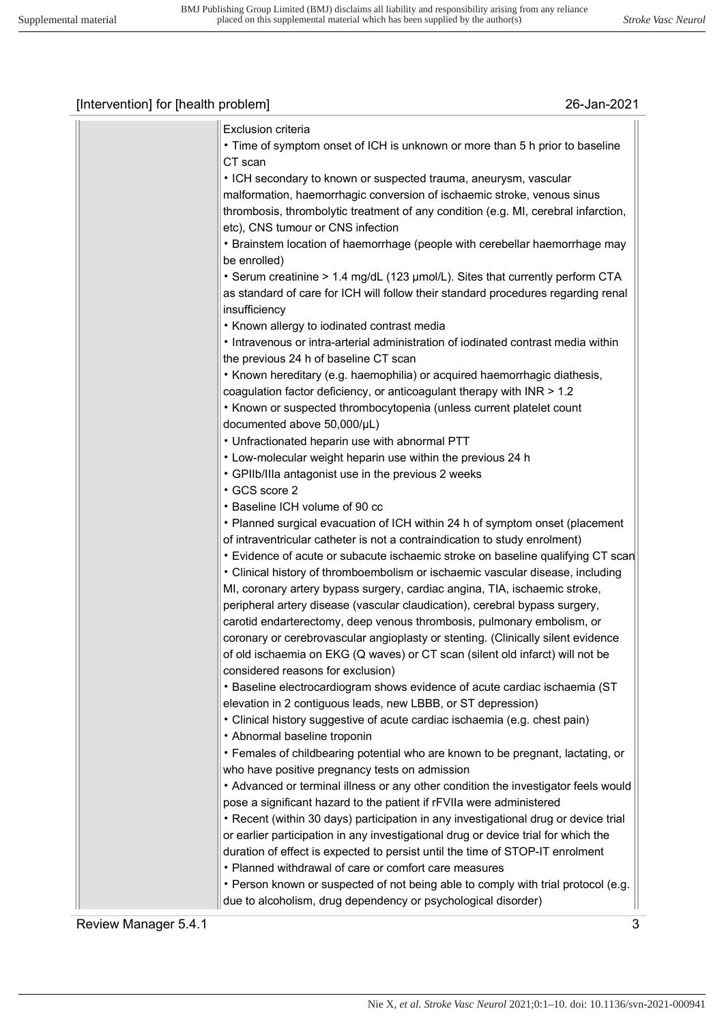| Exclusion criteria                                                                  |
|-------------------------------------------------------------------------------------|
| • Time of symptom onset of ICH is unknown or more than 5 h prior to baseline        |
| CT scan                                                                             |
| • ICH secondary to known or suspected trauma, aneurysm, vascular                    |
| malformation, haemorrhagic conversion of ischaemic stroke, venous sinus             |
| thrombosis, thrombolytic treatment of any condition (e.g. MI, cerebral infarction,  |
| etc), CNS tumour or CNS infection                                                   |
| • Brainstem location of haemorrhage (people with cerebellar haemorrhage may         |
| be enrolled)                                                                        |
| • Serum creatinine > 1.4 mg/dL (123 µmol/L). Sites that currently perform CTA       |
| as standard of care for ICH will follow their standard procedures regarding renal   |
| insufficiency                                                                       |
| • Known allergy to iodinated contrast media                                         |
| • Intravenous or intra-arterial administration of iodinated contrast media within   |
| the previous 24 h of baseline CT scan                                               |
| • Known hereditary (e.g. haemophilia) or acquired haemorrhagic diathesis,           |
| coagulation factor deficiency, or anticoagulant therapy with INR > 1.2              |
| • Known or suspected thrombocytopenia (unless current platelet count                |
| documented above 50,000/µL)                                                         |
| • Unfractionated heparin use with abnormal PTT                                      |
| • Low-molecular weight heparin use within the previous 24 h                         |
| • GPIIb/IIIa antagonist use in the previous 2 weeks                                 |
| • GCS score 2                                                                       |
| • Baseline ICH volume of 90 cc                                                      |
| • Planned surgical evacuation of ICH within 24 h of symptom onset (placement        |
| of intraventricular catheter is not a contraindication to study enrolment)          |
| • Evidence of acute or subacute ischaemic stroke on baseline qualifying CT scan     |
| • Clinical history of thromboembolism or ischaemic vascular disease, including      |
| MI, coronary artery bypass surgery, cardiac angina, TIA, ischaemic stroke,          |
| peripheral artery disease (vascular claudication), cerebral bypass surgery,         |
| carotid endarterectomy, deep venous thrombosis, pulmonary embolism, or              |
| coronary or cerebrovascular angioplasty or stenting. (Clinically silent evidence    |
| of old ischaemia on EKG (Q waves) or CT scan (silent old infarct) will not be       |
| considered reasons for exclusion)                                                   |
| • Baseline electrocardiogram shows evidence of acute cardiac ischaemia (ST          |
| elevation in 2 contiguous leads, new LBBB, or ST depression)                        |
| • Clinical history suggestive of acute cardiac ischaemia (e.g. chest pain)          |
| • Abnormal baseline troponin                                                        |
| • Females of childbearing potential who are known to be pregnant, lactating, or     |
| who have positive pregnancy tests on admission                                      |
| • Advanced or terminal illness or any other condition the investigator feels would  |
| pose a significant hazard to the patient if rFVIIa were administered                |
| • Recent (within 30 days) participation in any investigational drug or device trial |
| or earlier participation in any investigational drug or device trial for which the  |
| duration of effect is expected to persist until the time of STOP-IT enrolment       |
| • Planned withdrawal of care or comfort care measures                               |
| . Person known or suspected of not being able to comply with trial protocol (e.g.   |
| due to alcoholism, drug dependency or psychological disorder)                       |
|                                                                                     |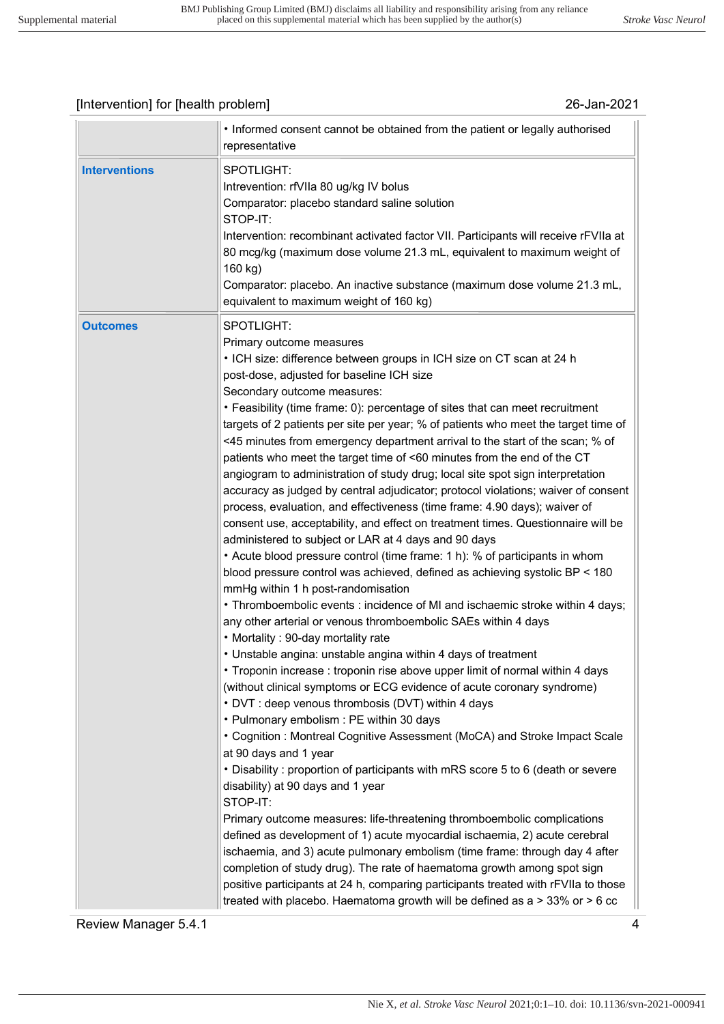| <b>Interventions</b><br>SPOTLIGHT:<br>Intrevention: rfVIIa 80 ug/kg IV bolus<br>Comparator: placebo standard saline solution<br>STOP-IT:<br>Intervention: recombinant activated factor VII. Participants will receive rFVIIa at<br>80 mcg/kg (maximum dose volume 21.3 mL, equivalent to maximum weight of<br>160 kg)<br>Comparator: placebo. An inactive substance (maximum dose volume 21.3 mL,<br>equivalent to maximum weight of 160 kg)<br>SPOTLIGHT:<br><b>Outcomes</b><br>Primary outcome measures<br>• ICH size: difference between groups in ICH size on CT scan at 24 h<br>post-dose, adjusted for baseline ICH size<br>Secondary outcome measures:<br>• Feasibility (time frame: 0): percentage of sites that can meet recruitment<br>targets of 2 patients per site per year; % of patients who meet the target time of<br><45 minutes from emergency department arrival to the start of the scan; % of<br>patients who meet the target time of <60 minutes from the end of the CT<br>angiogram to administration of study drug; local site spot sign interpretation<br>accuracy as judged by central adjudicator; protocol violations; waiver of consent<br>process, evaluation, and effectiveness (time frame: 4.90 days); waiver of<br>consent use, acceptability, and effect on treatment times. Questionnaire will be<br>administered to subject or LAR at 4 days and 90 days<br>• Acute blood pressure control (time frame: 1 h): % of participants in whom<br>blood pressure control was achieved, defined as achieving systolic BP < 180<br>mmHg within 1 h post-randomisation<br>• Thromboembolic events : incidence of MI and ischaemic stroke within 4 days;<br>any other arterial or venous thromboembolic SAEs within 4 days<br>• Mortality : 90-day mortality rate<br>• Unstable angina: unstable angina within 4 days of treatment<br>• Troponin increase: troponin rise above upper limit of normal within 4 days<br>(without clinical symptoms or ECG evidence of acute coronary syndrome)<br>• DVT : deep venous thrombosis (DVT) within 4 days<br>• Pulmonary embolism : PE within 30 days<br>• Cognition: Montreal Cognitive Assessment (MoCA) and Stroke Impact Scale | • Informed consent cannot be obtained from the patient or legally authorised<br>representative |
|--------------------------------------------------------------------------------------------------------------------------------------------------------------------------------------------------------------------------------------------------------------------------------------------------------------------------------------------------------------------------------------------------------------------------------------------------------------------------------------------------------------------------------------------------------------------------------------------------------------------------------------------------------------------------------------------------------------------------------------------------------------------------------------------------------------------------------------------------------------------------------------------------------------------------------------------------------------------------------------------------------------------------------------------------------------------------------------------------------------------------------------------------------------------------------------------------------------------------------------------------------------------------------------------------------------------------------------------------------------------------------------------------------------------------------------------------------------------------------------------------------------------------------------------------------------------------------------------------------------------------------------------------------------------------------------------------------------------------------------------------------------------------------------------------------------------------------------------------------------------------------------------------------------------------------------------------------------------------------------------------------------------------------------------------------------------------------------------------------------------------------------------------------------------------------------------------------|------------------------------------------------------------------------------------------------|
|                                                                                                                                                                                                                                                                                                                                                                                                                                                                                                                                                                                                                                                                                                                                                                                                                                                                                                                                                                                                                                                                                                                                                                                                                                                                                                                                                                                                                                                                                                                                                                                                                                                                                                                                                                                                                                                                                                                                                                                                                                                                                                                                                                                                        |                                                                                                |
| at 90 days and 1 year<br>• Disability: proportion of participants with mRS score 5 to 6 (death or severe<br>disability) at 90 days and 1 year<br>STOP-IT:<br>Primary outcome measures: life-threatening thromboembolic complications<br>defined as development of 1) acute myocardial ischaemia, 2) acute cerebral<br>ischaemia, and 3) acute pulmonary embolism (time frame: through day 4 after<br>completion of study drug). The rate of haematoma growth among spot sign<br>positive participants at 24 h, comparing participants treated with rFVIIa to those<br>treated with placebo. Haematoma growth will be defined as $a > 33\%$ or $> 6$ cc                                                                                                                                                                                                                                                                                                                                                                                                                                                                                                                                                                                                                                                                                                                                                                                                                                                                                                                                                                                                                                                                                                                                                                                                                                                                                                                                                                                                                                                                                                                                                 |                                                                                                |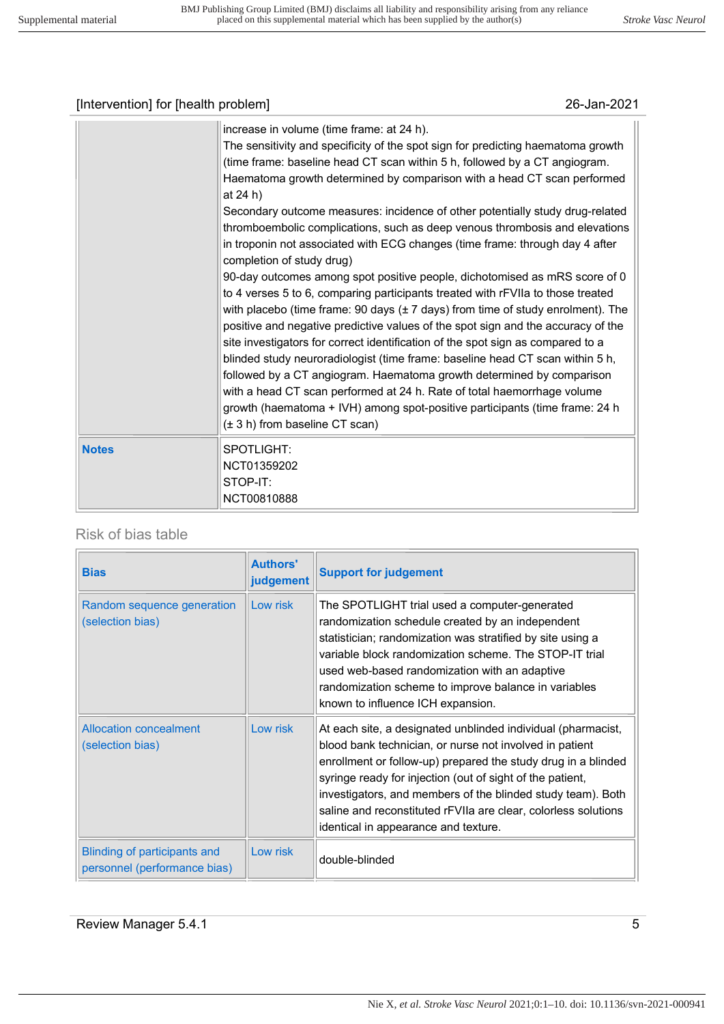| [Intervention] for [health problem] |                                                                                                                                                                                                                                                                                                                                                                                                                                                                                                                                                                                                                                                                                                                                                                                                                                                                                                                                                                                                                                                                                                                                                                                                                                                                                                                                                                              | 26-Jan-2021 |
|-------------------------------------|------------------------------------------------------------------------------------------------------------------------------------------------------------------------------------------------------------------------------------------------------------------------------------------------------------------------------------------------------------------------------------------------------------------------------------------------------------------------------------------------------------------------------------------------------------------------------------------------------------------------------------------------------------------------------------------------------------------------------------------------------------------------------------------------------------------------------------------------------------------------------------------------------------------------------------------------------------------------------------------------------------------------------------------------------------------------------------------------------------------------------------------------------------------------------------------------------------------------------------------------------------------------------------------------------------------------------------------------------------------------------|-------------|
|                                     | increase in volume (time frame: at 24 h).<br>The sensitivity and specificity of the spot sign for predicting haematoma growth<br>(time frame: baseline head CT scan within 5 h, followed by a CT angiogram.<br>Haematoma growth determined by comparison with a head CT scan performed<br>at 24 h)<br>Secondary outcome measures: incidence of other potentially study drug-related<br>thromboembolic complications, such as deep venous thrombosis and elevations<br>in troponin not associated with ECG changes (time frame: through day 4 after<br>completion of study drug)<br>90-day outcomes among spot positive people, dichotomised as mRS score of 0<br>to 4 verses 5 to 6, comparing participants treated with rFVIIa to those treated<br>with placebo (time frame: 90 days $(\pm 7 \text{ days})$ from time of study enrolment). The<br>positive and negative predictive values of the spot sign and the accuracy of the<br>site investigators for correct identification of the spot sign as compared to a<br>blinded study neuroradiologist (time frame: baseline head CT scan within 5 h,<br>followed by a CT angiogram. Haematoma growth determined by comparison<br>with a head CT scan performed at 24 h. Rate of total haemorrhage volume<br>growth (haematoma + IVH) among spot-positive participants (time frame: 24 h<br>(± 3 h) from baseline CT scan) |             |
| <b>Notes</b>                        | <b>SPOTLIGHT:</b><br>NCT01359202<br>STOP-IT:                                                                                                                                                                                                                                                                                                                                                                                                                                                                                                                                                                                                                                                                                                                                                                                                                                                                                                                                                                                                                                                                                                                                                                                                                                                                                                                                 |             |

#### Risk of bias table

NCT00810888

| <b>Bias</b>                                                  | <b>Authors'</b><br>judgement | <b>Support for judgement</b>                                                                                                                                                                                                                                                                                                                                                                                                   |
|--------------------------------------------------------------|------------------------------|--------------------------------------------------------------------------------------------------------------------------------------------------------------------------------------------------------------------------------------------------------------------------------------------------------------------------------------------------------------------------------------------------------------------------------|
| Random sequence generation<br>(selection bias)               | Low risk                     | The SPOTLIGHT trial used a computer-generated<br>randomization schedule created by an independent<br>statistician; randomization was stratified by site using a<br>variable block randomization scheme. The STOP-IT trial<br>used web-based randomization with an adaptive<br>randomization scheme to improve balance in variables<br>known to influence ICH expansion.                                                        |
| <b>Allocation concealment</b><br>(selection bias)            | Low risk                     | At each site, a designated unblinded individual (pharmacist,<br>blood bank technician, or nurse not involved in patient<br>enrollment or follow-up) prepared the study drug in a blinded<br>syringe ready for injection (out of sight of the patient,<br>investigators, and members of the blinded study team). Both<br>saline and reconstituted rFVIIa are clear, colorless solutions<br>identical in appearance and texture. |
| Blinding of participants and<br>personnel (performance bias) | Low risk                     | double-blinded                                                                                                                                                                                                                                                                                                                                                                                                                 |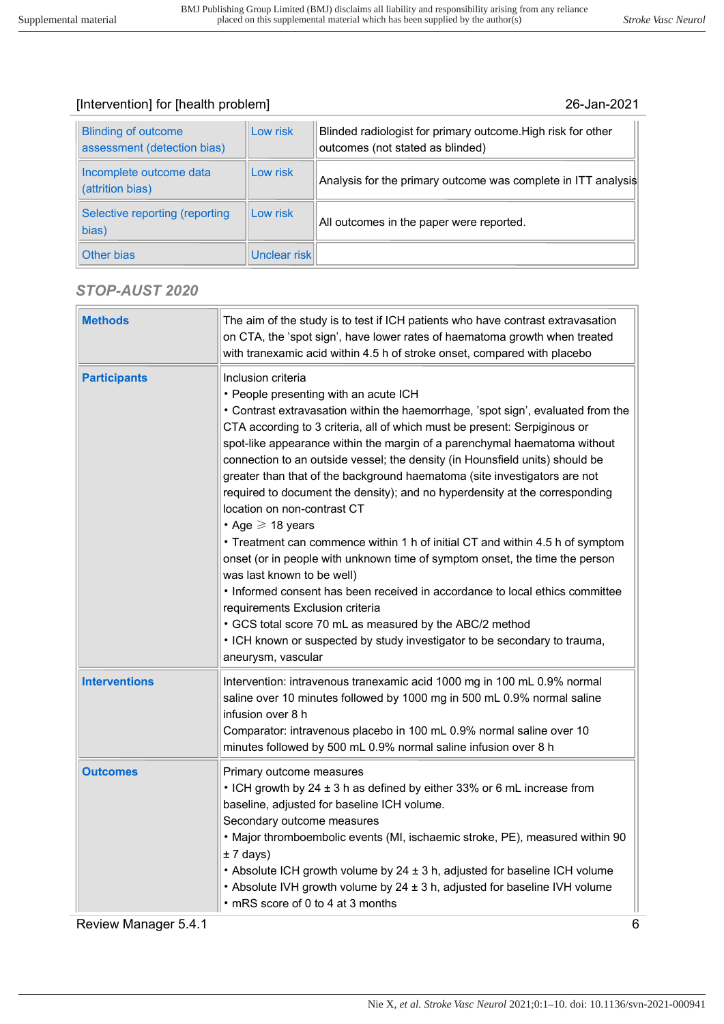| <b>Blinding of outcome</b><br>assessment (detection bias) | Low risk     | Blinded radiologist for primary outcome. High risk for other<br>outcomes (not stated as blinded) |
|-----------------------------------------------------------|--------------|--------------------------------------------------------------------------------------------------|
| Incomplete outcome data<br>(attrition bias)               | Low risk     | Analysis for the primary outcome was complete in ITT analysis                                    |
| Selective reporting (reporting<br>bias)                   | Low risk     | All outcomes in the paper were reported.                                                         |
| Other bias                                                | Unclear risk |                                                                                                  |

## STOP-AUST 2020

| <b>Methods</b>       | The aim of the study is to test if ICH patients who have contrast extravasation<br>on CTA, the 'spot sign', have lower rates of haematoma growth when treated<br>with tranexamic acid within 4.5 h of stroke onset, compared with placebo                                                                                                                                                                                                                                                                                                                                                                                                                                                                                                                                                                                                                                                                                                                                                                                                                                                               |
|----------------------|---------------------------------------------------------------------------------------------------------------------------------------------------------------------------------------------------------------------------------------------------------------------------------------------------------------------------------------------------------------------------------------------------------------------------------------------------------------------------------------------------------------------------------------------------------------------------------------------------------------------------------------------------------------------------------------------------------------------------------------------------------------------------------------------------------------------------------------------------------------------------------------------------------------------------------------------------------------------------------------------------------------------------------------------------------------------------------------------------------|
| <b>Participants</b>  | Inclusion criteria<br>• People presenting with an acute ICH<br>• Contrast extravasation within the haemorrhage, 'spot sign', evaluated from the<br>CTA according to 3 criteria, all of which must be present: Serpiginous or<br>spot-like appearance within the margin of a parenchymal haematoma without<br>connection to an outside vessel; the density (in Hounsfield units) should be<br>greater than that of the background haematoma (site investigators are not<br>required to document the density); and no hyperdensity at the corresponding<br>location on non-contrast CT<br>$\cdot$ Age $\geqslant$ 18 years<br>• Treatment can commence within 1 h of initial CT and within 4.5 h of symptom<br>onset (or in people with unknown time of symptom onset, the time the person<br>was last known to be well)<br>. Informed consent has been received in accordance to local ethics committee<br>requirements Exclusion criteria<br>• GCS total score 70 mL as measured by the ABC/2 method<br>• ICH known or suspected by study investigator to be secondary to trauma,<br>aneurysm, vascular |
| <b>Interventions</b> | Intervention: intravenous tranexamic acid 1000 mg in 100 mL 0.9% normal<br>saline over 10 minutes followed by 1000 mg in 500 mL 0.9% normal saline<br>infusion over 8 h<br>Comparator: intravenous placebo in 100 mL 0.9% normal saline over 10<br>minutes followed by 500 mL 0.9% normal saline infusion over 8 h                                                                                                                                                                                                                                                                                                                                                                                                                                                                                                                                                                                                                                                                                                                                                                                      |
| <b>Outcomes</b>      | Primary outcome measures<br>• ICH growth by 24 ± 3 h as defined by either 33% or 6 mL increase from<br>baseline, adjusted for baseline ICH volume.<br>Secondary outcome measures<br>. Major thromboembolic events (MI, ischaemic stroke, PE), measured within 90<br>$± 7$ days)<br>• Absolute ICH growth volume by 24 ± 3 h, adjusted for baseline ICH volume<br>• Absolute IVH growth volume by 24 ± 3 h, adjusted for baseline IVH volume<br>• mRS score of 0 to 4 at 3 months                                                                                                                                                                                                                                                                                                                                                                                                                                                                                                                                                                                                                        |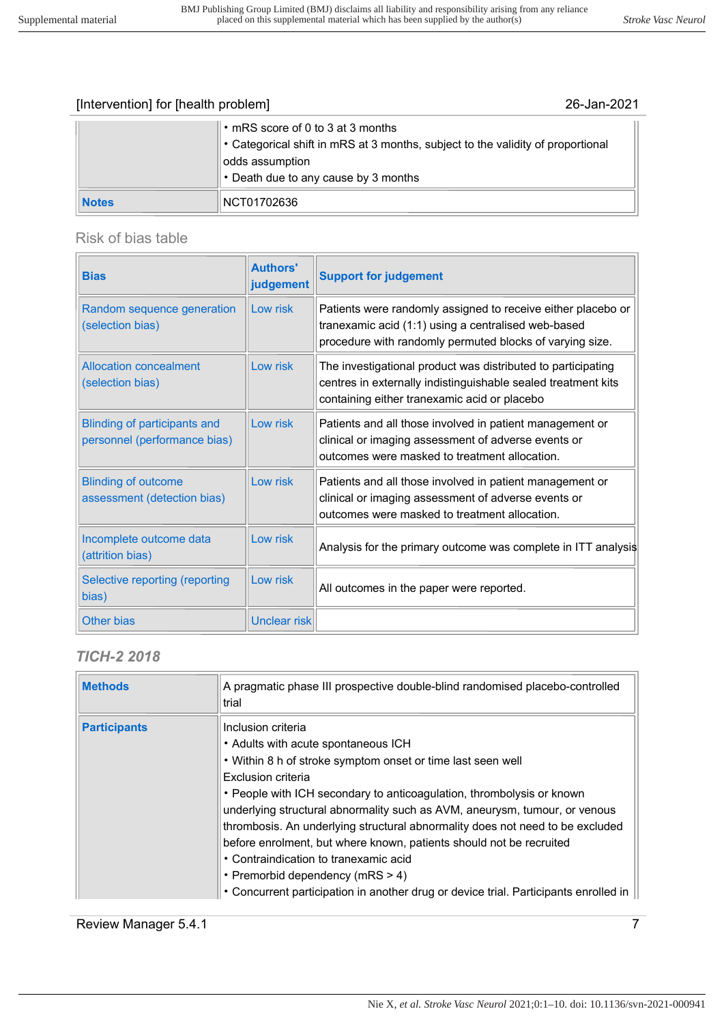|              | $\ \cdot$ mRS score of 0 to 3 at 3 months<br>$\ $ • Categorical shift in mRS at 3 months, subject to the validity of proportional<br>odds assumption<br>$\cdot$ Death due to any cause by 3 months |
|--------------|----------------------------------------------------------------------------------------------------------------------------------------------------------------------------------------------------|
| <b>Notes</b> | NCT01702636                                                                                                                                                                                        |

## Risk of bias table

| <b>Bias</b>                                                         | <b>Authors'</b><br>judgement | <b>Support for judgement</b>                                                                                                                                                    |
|---------------------------------------------------------------------|------------------------------|---------------------------------------------------------------------------------------------------------------------------------------------------------------------------------|
| Random sequence generation<br>(selection bias)                      | Low risk                     | Patients were randomly assigned to receive either placebo or<br>tranexamic acid (1:1) using a centralised web-based<br>procedure with randomly permuted blocks of varying size. |
| <b>Allocation concealment</b><br>(selection bias)                   | Low risk                     | The investigational product was distributed to participating<br>centres in externally indistinguishable sealed treatment kits<br>containing either tranexamic acid or placebo   |
| <b>Blinding of participants and</b><br>personnel (performance bias) | Low risk                     | Patients and all those involved in patient management or<br>clinical or imaging assessment of adverse events or<br>outcomes were masked to treatment allocation.                |
| <b>Blinding of outcome</b><br>assessment (detection bias)           | Low risk                     | Patients and all those involved in patient management or<br>clinical or imaging assessment of adverse events or<br>outcomes were masked to treatment allocation.                |
| Incomplete outcome data<br>(attrition bias)                         | Low risk                     | Analysis for the primary outcome was complete in ITT analysis                                                                                                                   |
| Selective reporting (reporting<br>bias)                             | Low risk                     | All outcomes in the paper were reported.                                                                                                                                        |
| Other bias                                                          | Unclear risk                 |                                                                                                                                                                                 |

## TICH-2 2018

| <b>Methods</b>      | A pragmatic phase III prospective double-blind randomised placebo-controlled<br>trial                                                                                                                                                                                                                                                                                                                                                                                                                                                        |
|---------------------|----------------------------------------------------------------------------------------------------------------------------------------------------------------------------------------------------------------------------------------------------------------------------------------------------------------------------------------------------------------------------------------------------------------------------------------------------------------------------------------------------------------------------------------------|
| <b>Participants</b> | Inclusion criteria<br>• Adults with acute spontaneous ICH<br>. Within 8 h of stroke symptom onset or time last seen well<br>Exclusion criteria<br>• People with ICH secondary to anticoagulation, thrombolysis or known<br>underlying structural abnormality such as AVM, aneurysm, tumour, or venous<br>thrombosis. An underlying structural abnormality does not need to be excluded<br>before enrolment, but where known, patients should not be recruited<br>• Contraindication to tranexamic acid<br>• Premorbid dependency (mRS $>$ 4) |
|                     | • Concurrent participation in another drug or device trial. Participants enrolled in                                                                                                                                                                                                                                                                                                                                                                                                                                                         |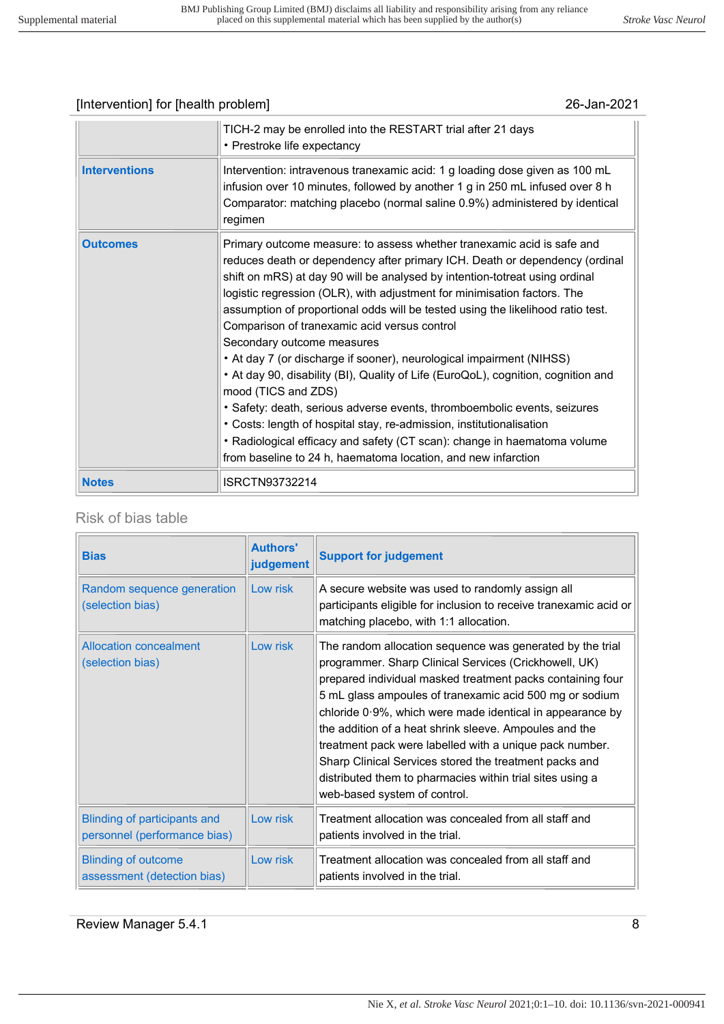|                      | TICH-2 may be enrolled into the RESTART trial after 21 days<br>• Prestroke life expectancy                                                                                                                                                                                                                                                                                                                                                                                                                                                                                                                                                                                                                                                                                                                                                                                                                                                                             |
|----------------------|------------------------------------------------------------------------------------------------------------------------------------------------------------------------------------------------------------------------------------------------------------------------------------------------------------------------------------------------------------------------------------------------------------------------------------------------------------------------------------------------------------------------------------------------------------------------------------------------------------------------------------------------------------------------------------------------------------------------------------------------------------------------------------------------------------------------------------------------------------------------------------------------------------------------------------------------------------------------|
| <b>Interventions</b> | Intervention: intravenous tranexamic acid: 1 g loading dose given as 100 mL<br>infusion over 10 minutes, followed by another 1 g in 250 mL infused over 8 h<br>Comparator: matching placebo (normal saline 0.9%) administered by identical<br>regimen                                                                                                                                                                                                                                                                                                                                                                                                                                                                                                                                                                                                                                                                                                                  |
| <b>Outcomes</b>      | Primary outcome measure: to assess whether tranexamic acid is safe and<br>reduces death or dependency after primary ICH. Death or dependency (ordinal<br>shift on mRS) at day 90 will be analysed by intention-totreat using ordinal<br>logistic regression (OLR), with adjustment for minimisation factors. The<br>assumption of proportional odds will be tested using the likelihood ratio test.<br>Comparison of tranexamic acid versus control<br>Secondary outcome measures<br>• At day 7 (or discharge if sooner), neurological impairment (NIHSS)<br>• At day 90, disability (BI), Quality of Life (EuroQoL), cognition, cognition and<br>mood (TICS and ZDS)<br>• Safety: death, serious adverse events, thromboembolic events, seizures<br>• Costs: length of hospital stay, re-admission, institutionalisation<br>• Radiological efficacy and safety (CT scan): change in haematoma volume<br>from baseline to 24 h, haematoma location, and new infarction |
| <b>Notes</b>         | ISRCTN93732214                                                                                                                                                                                                                                                                                                                                                                                                                                                                                                                                                                                                                                                                                                                                                                                                                                                                                                                                                         |

#### Risk of bias table

| <b>Bias</b>                                                         | <b>Authors'</b><br>judgement | <b>Support for judgement</b>                                                                                                                                                                                                                                                                                                                                                                                                                                                                                                                                                         |
|---------------------------------------------------------------------|------------------------------|--------------------------------------------------------------------------------------------------------------------------------------------------------------------------------------------------------------------------------------------------------------------------------------------------------------------------------------------------------------------------------------------------------------------------------------------------------------------------------------------------------------------------------------------------------------------------------------|
| Random sequence generation<br>(selection bias)                      | Low risk                     | A secure website was used to randomly assign all<br>participants eligible for inclusion to receive tranexamic acid or<br>matching placebo, with 1:1 allocation.                                                                                                                                                                                                                                                                                                                                                                                                                      |
| <b>Allocation concealment</b><br>(selection bias)                   | Low risk                     | The random allocation sequence was generated by the trial<br>programmer. Sharp Clinical Services (Crickhowell, UK)<br>prepared individual masked treatment packs containing four<br>5 mL glass ampoules of tranexamic acid 500 mg or sodium<br>chloride 0.9%, which were made identical in appearance by<br>the addition of a heat shrink sleeve. Ampoules and the<br>treatment pack were labelled with a unique pack number.<br>Sharp Clinical Services stored the treatment packs and<br>distributed them to pharmacies within trial sites using a<br>web-based system of control. |
| <b>Blinding of participants and</b><br>personnel (performance bias) | Low risk                     | Treatment allocation was concealed from all staff and<br>patients involved in the trial.                                                                                                                                                                                                                                                                                                                                                                                                                                                                                             |
| <b>Blinding of outcome</b><br>assessment (detection bias)           | Low risk                     | Treatment allocation was concealed from all staff and<br>patients involved in the trial.                                                                                                                                                                                                                                                                                                                                                                                                                                                                                             |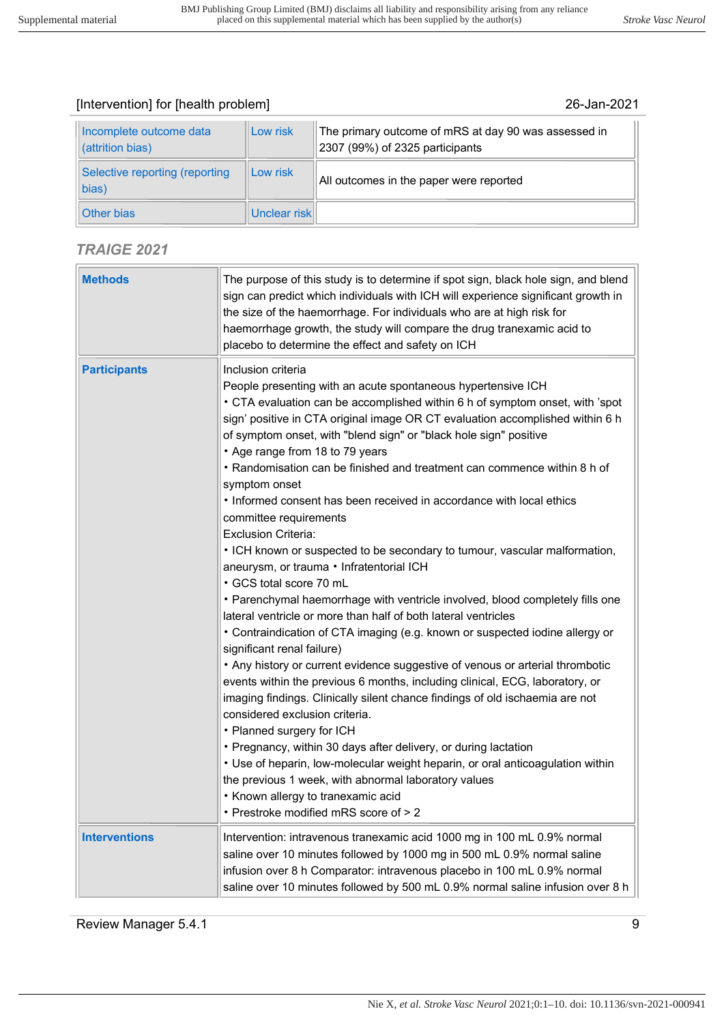| Incomplete outcome data<br>(attrition bias) | Low risk     | The primary outcome of mRS at day 90 was assessed in<br>2307 (99%) of 2325 participants |
|---------------------------------------------|--------------|-----------------------------------------------------------------------------------------|
| Selective reporting (reporting<br>bias)     | Low risk     | All outcomes in the paper were reported                                                 |
| Other bias                                  | Unclear risk |                                                                                         |

## TRAIGE 2021

| <b>Methods</b>       | The purpose of this study is to determine if spot sign, black hole sign, and blend<br>sign can predict which individuals with ICH will experience significant growth in<br>the size of the haemorrhage. For individuals who are at high risk for<br>haemorrhage growth, the study will compare the drug tranexamic acid to<br>placebo to determine the effect and safety on ICH                                                                                                                                                                                                                                                                                                                                                                                                                                                                                                                                                                                                                                                                                                                                                                                                                                                                                                                                                                                                                                                                                                                                                             |
|----------------------|---------------------------------------------------------------------------------------------------------------------------------------------------------------------------------------------------------------------------------------------------------------------------------------------------------------------------------------------------------------------------------------------------------------------------------------------------------------------------------------------------------------------------------------------------------------------------------------------------------------------------------------------------------------------------------------------------------------------------------------------------------------------------------------------------------------------------------------------------------------------------------------------------------------------------------------------------------------------------------------------------------------------------------------------------------------------------------------------------------------------------------------------------------------------------------------------------------------------------------------------------------------------------------------------------------------------------------------------------------------------------------------------------------------------------------------------------------------------------------------------------------------------------------------------|
| <b>Participants</b>  | Inclusion criteria<br>People presenting with an acute spontaneous hypertensive ICH<br>• CTA evaluation can be accomplished within 6 h of symptom onset, with 'spot<br>sign' positive in CTA original image OR CT evaluation accomplished within 6 h<br>of symptom onset, with "blend sign" or "black hole sign" positive<br>• Age range from 18 to 79 years<br>• Randomisation can be finished and treatment can commence within 8 h of<br>symptom onset<br>• Informed consent has been received in accordance with local ethics<br>committee requirements<br><b>Exclusion Criteria:</b><br>• ICH known or suspected to be secondary to tumour, vascular malformation,<br>aneurysm, or trauma · Infratentorial ICH<br>• GCS total score 70 mL<br>• Parenchymal haemorrhage with ventricle involved, blood completely fills one<br>lateral ventricle or more than half of both lateral ventricles<br>• Contraindication of CTA imaging (e.g. known or suspected iodine allergy or<br>significant renal failure)<br>• Any history or current evidence suggestive of venous or arterial thrombotic<br>events within the previous 6 months, including clinical, ECG, laboratory, or<br>imaging findings. Clinically silent chance findings of old ischaemia are not<br>considered exclusion criteria.<br>• Planned surgery for ICH<br>• Pregnancy, within 30 days after delivery, or during lactation<br>• Use of heparin, low-molecular weight heparin, or oral anticoagulation within<br>the previous 1 week, with abnormal laboratory values |
|                      | • Known allergy to tranexamic acid<br>• Prestroke modified mRS score of > 2                                                                                                                                                                                                                                                                                                                                                                                                                                                                                                                                                                                                                                                                                                                                                                                                                                                                                                                                                                                                                                                                                                                                                                                                                                                                                                                                                                                                                                                                 |
| <b>Interventions</b> | Intervention: intravenous tranexamic acid 1000 mg in 100 mL 0.9% normal<br>saline over 10 minutes followed by 1000 mg in 500 mL 0.9% normal saline<br>infusion over 8 h Comparator: intravenous placebo in 100 mL 0.9% normal<br>saline over 10 minutes followed by 500 mL 0.9% normal saline infusion over 8 h                                                                                                                                                                                                                                                                                                                                                                                                                                                                                                                                                                                                                                                                                                                                                                                                                                                                                                                                                                                                                                                                                                                                                                                                                             |